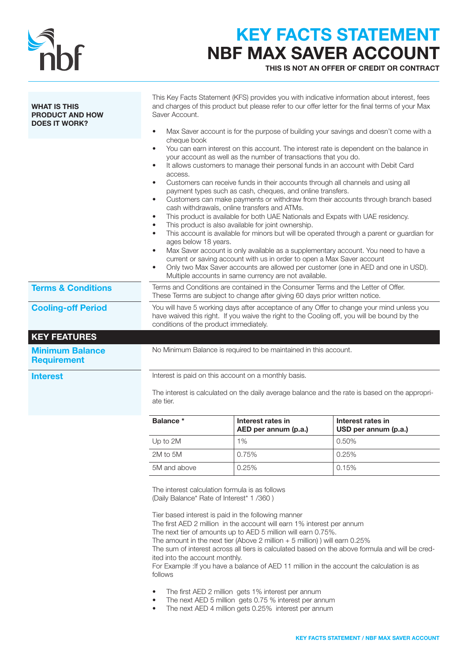

# KEY FACTS STATEMENT NBF MAX SAVER ACCOUNT

THIS IS NOT AN OFFER OF CREDIT OR CONTRACT

| and charges of this product but please refer to our offer letter for the final terms of your Max<br>Saver Account.<br>Max Saver account is for the purpose of building your savings and doesn't come with a |                                                                                                                                                                   |                                                                                                                                                                                                                                                                                                                                                                                                                                                                                                                                                                                                                                                                                                                                                                                                                                                                                                                                                                                                                                                                                                                                                                                                                                                                                                                                                                                    |  |  |
|-------------------------------------------------------------------------------------------------------------------------------------------------------------------------------------------------------------|-------------------------------------------------------------------------------------------------------------------------------------------------------------------|------------------------------------------------------------------------------------------------------------------------------------------------------------------------------------------------------------------------------------------------------------------------------------------------------------------------------------------------------------------------------------------------------------------------------------------------------------------------------------------------------------------------------------------------------------------------------------------------------------------------------------------------------------------------------------------------------------------------------------------------------------------------------------------------------------------------------------------------------------------------------------------------------------------------------------------------------------------------------------------------------------------------------------------------------------------------------------------------------------------------------------------------------------------------------------------------------------------------------------------------------------------------------------------------------------------------------------------------------------------------------------|--|--|
| access.<br>٠<br>$\bullet$<br>$\bullet$<br>$\bullet$                                                                                                                                                         |                                                                                                                                                                   |                                                                                                                                                                                                                                                                                                                                                                                                                                                                                                                                                                                                                                                                                                                                                                                                                                                                                                                                                                                                                                                                                                                                                                                                                                                                                                                                                                                    |  |  |
|                                                                                                                                                                                                             | Terms and Conditions are contained in the Consumer Terms and the Letter of Offer.<br>These Terms are subject to change after giving 60 days prior written notice. |                                                                                                                                                                                                                                                                                                                                                                                                                                                                                                                                                                                                                                                                                                                                                                                                                                                                                                                                                                                                                                                                                                                                                                                                                                                                                                                                                                                    |  |  |
| You will have 5 working days after acceptance of any Offer to change your mind unless you<br>have waived this right. If you waive the right to the Cooling off, you will be bound by the                    |                                                                                                                                                                   |                                                                                                                                                                                                                                                                                                                                                                                                                                                                                                                                                                                                                                                                                                                                                                                                                                                                                                                                                                                                                                                                                                                                                                                                                                                                                                                                                                                    |  |  |
|                                                                                                                                                                                                             |                                                                                                                                                                   |                                                                                                                                                                                                                                                                                                                                                                                                                                                                                                                                                                                                                                                                                                                                                                                                                                                                                                                                                                                                                                                                                                                                                                                                                                                                                                                                                                                    |  |  |
|                                                                                                                                                                                                             |                                                                                                                                                                   |                                                                                                                                                                                                                                                                                                                                                                                                                                                                                                                                                                                                                                                                                                                                                                                                                                                                                                                                                                                                                                                                                                                                                                                                                                                                                                                                                                                    |  |  |
| Interest is paid on this account on a monthly basis.<br>The interest is calculated on the daily average balance and the rate is based on the appropri-<br>ate tier.                                         |                                                                                                                                                                   |                                                                                                                                                                                                                                                                                                                                                                                                                                                                                                                                                                                                                                                                                                                                                                                                                                                                                                                                                                                                                                                                                                                                                                                                                                                                                                                                                                                    |  |  |
| <b>Balance</b> *                                                                                                                                                                                            | Interest rates in<br>AED per annum (p.a.)                                                                                                                         | Interest rates in<br>USD per annum (p.a.)                                                                                                                                                                                                                                                                                                                                                                                                                                                                                                                                                                                                                                                                                                                                                                                                                                                                                                                                                                                                                                                                                                                                                                                                                                                                                                                                          |  |  |
| Up to 2M                                                                                                                                                                                                    | 1%                                                                                                                                                                | 0.50%                                                                                                                                                                                                                                                                                                                                                                                                                                                                                                                                                                                                                                                                                                                                                                                                                                                                                                                                                                                                                                                                                                                                                                                                                                                                                                                                                                              |  |  |
| 2M to 5M                                                                                                                                                                                                    | 0.75%                                                                                                                                                             | 0.25%                                                                                                                                                                                                                                                                                                                                                                                                                                                                                                                                                                                                                                                                                                                                                                                                                                                                                                                                                                                                                                                                                                                                                                                                                                                                                                                                                                              |  |  |
| 5M and above                                                                                                                                                                                                | 0.25%                                                                                                                                                             | 0.15%                                                                                                                                                                                                                                                                                                                                                                                                                                                                                                                                                                                                                                                                                                                                                                                                                                                                                                                                                                                                                                                                                                                                                                                                                                                                                                                                                                              |  |  |
| (Daily Balance* Rate of Interest* 1/360)                                                                                                                                                                    |                                                                                                                                                                   |                                                                                                                                                                                                                                                                                                                                                                                                                                                                                                                                                                                                                                                                                                                                                                                                                                                                                                                                                                                                                                                                                                                                                                                                                                                                                                                                                                                    |  |  |
|                                                                                                                                                                                                             | cheque book                                                                                                                                                       | This Key Facts Statement (KFS) provides you with indicative information about interest, fees<br>You can earn interest on this account. The interest rate is dependent on the balance in<br>your account as well as the number of transactions that you do.<br>It allows customers to manage their personal funds in an account with Debit Card<br>Customers can receive funds in their accounts through all channels and using all<br>payment types such as cash, cheques, and online transfers.<br>Customers can make payments or withdraw from their accounts through branch based<br>cash withdrawals, online transfers and ATMs.<br>This product is available for both UAE Nationals and Expats with UAE residency.<br>This product is also available for joint ownership.<br>This account is available for minors but will be operated through a parent or guardian for<br>ages below 18 years.<br>Max Saver account is only available as a supplementary account. You need to have a<br>current or saving account with us in order to open a Max Saver account<br>Only two Max Saver accounts are allowed per customer (one in AED and one in USD).<br>Multiple accounts in same currency are not available.<br>conditions of the product immediately.<br>No Minimum Balance is required to be maintained in this account.<br>The interest calculation formula is as follows |  |  |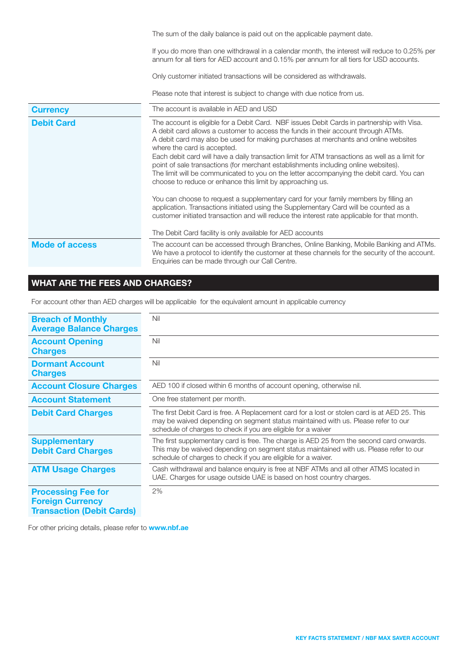|                       | The sum of the daily balance is paid out on the applicable payment date.                                                                                                                                                                                                                                                                                                                                                                                                                                                                                                                                                                                                                                                                                                                                                                                                                                                                 |  |  |  |
|-----------------------|------------------------------------------------------------------------------------------------------------------------------------------------------------------------------------------------------------------------------------------------------------------------------------------------------------------------------------------------------------------------------------------------------------------------------------------------------------------------------------------------------------------------------------------------------------------------------------------------------------------------------------------------------------------------------------------------------------------------------------------------------------------------------------------------------------------------------------------------------------------------------------------------------------------------------------------|--|--|--|
|                       | If you do more than one withdrawal in a calendar month, the interest will reduce to 0.25% per<br>annum for all tiers for AED account and 0.15% per annum for all tiers for USD accounts.                                                                                                                                                                                                                                                                                                                                                                                                                                                                                                                                                                                                                                                                                                                                                 |  |  |  |
|                       | Only customer initiated transactions will be considered as withdrawals.                                                                                                                                                                                                                                                                                                                                                                                                                                                                                                                                                                                                                                                                                                                                                                                                                                                                  |  |  |  |
|                       | Please note that interest is subject to change with due notice from us.                                                                                                                                                                                                                                                                                                                                                                                                                                                                                                                                                                                                                                                                                                                                                                                                                                                                  |  |  |  |
| <b>Currency</b>       | The account is available in AED and USD                                                                                                                                                                                                                                                                                                                                                                                                                                                                                                                                                                                                                                                                                                                                                                                                                                                                                                  |  |  |  |
| <b>Debit Card</b>     | The account is eligible for a Debit Card. NBF issues Debit Cards in partnership with Visa.<br>A debit card allows a customer to access the funds in their account through ATMs.<br>A debit card may also be used for making purchases at merchants and online websites<br>where the card is accepted.<br>Each debit card will have a daily transaction limit for ATM transactions as well as a limit for<br>point of sale transactions (for merchant establishments including online websites).<br>The limit will be communicated to you on the letter accompanying the debit card. You can<br>choose to reduce or enhance this limit by approaching us.<br>You can choose to request a supplementary card for your family members by filling an<br>application. Transactions initiated using the Supplementary Card will be counted as a<br>customer initiated transaction and will reduce the interest rate applicable for that month. |  |  |  |
|                       | The Debit Card facility is only available for AED accounts                                                                                                                                                                                                                                                                                                                                                                                                                                                                                                                                                                                                                                                                                                                                                                                                                                                                               |  |  |  |
| <b>Mode of access</b> | The account can be accessed through Branches, Online Banking, Mobile Banking and ATMs.<br>We have a protocol to identify the customer at these channels for the security of the account.<br>Enquiries can be made through our Call Centre.                                                                                                                                                                                                                                                                                                                                                                                                                                                                                                                                                                                                                                                                                               |  |  |  |

# WHAT ARE THE FEES AND CHARGES?

For account other than AED charges will be applicable for the equivalent amount in applicable currency

| <b>Breach of Monthly</b><br><b>Average Balance Charges</b>                               | Nil                                                                                                                                                                                                                                                  |
|------------------------------------------------------------------------------------------|------------------------------------------------------------------------------------------------------------------------------------------------------------------------------------------------------------------------------------------------------|
| <b>Account Opening</b><br><b>Charges</b>                                                 | Nil                                                                                                                                                                                                                                                  |
| <b>Dormant Account</b><br><b>Charges</b>                                                 | Nil                                                                                                                                                                                                                                                  |
| <b>Account Closure Charges</b>                                                           | AED 100 if closed within 6 months of account opening, otherwise nil.                                                                                                                                                                                 |
| <b>Account Statement</b>                                                                 | One free statement per month.                                                                                                                                                                                                                        |
| <b>Debit Card Charges</b>                                                                | The first Debit Card is free. A Replacement card for a lost or stolen card is at AED 25. This<br>may be waived depending on segment status maintained with us. Please refer to our<br>schedule of charges to check if you are eligible for a waiver  |
| <b>Supplementary</b><br><b>Debit Card Charges</b>                                        | The first supplementary card is free. The charge is AED 25 from the second card onwards.<br>This may be waived depending on segment status maintained with us. Please refer to our<br>schedule of charges to check if you are eligible for a waiver. |
| <b>ATM Usage Charges</b>                                                                 | Cash withdrawal and balance enquiry is free at NBF ATMs and all other ATMS located in<br>UAE. Charges for usage outside UAE is based on host country charges.                                                                                        |
| <b>Processing Fee for</b><br><b>Foreign Currency</b><br><b>Transaction (Debit Cards)</b> | 2%                                                                                                                                                                                                                                                   |

For other pricing details, please refer to **www.nbf.ae**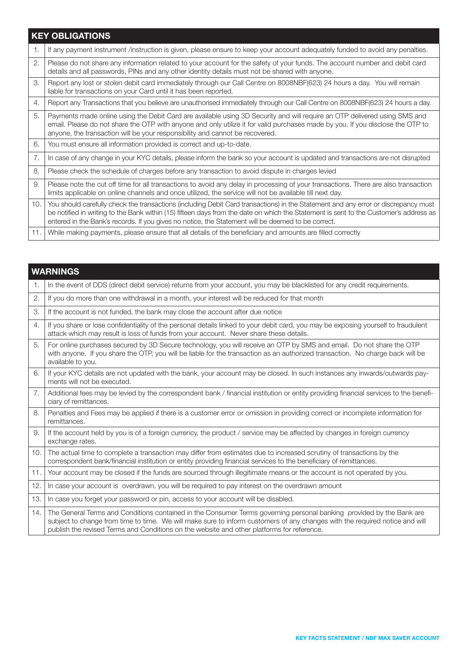# KEY OBLIGATIONS

| 1.  | If any payment instrument /instruction is given, please ensure to keep your account adequately funded to avoid any penalties.                                                                                                                                                                                                                                                     |
|-----|-----------------------------------------------------------------------------------------------------------------------------------------------------------------------------------------------------------------------------------------------------------------------------------------------------------------------------------------------------------------------------------|
| 2.  | Please do not share any information related to your account for the safety of your funds. The account number and debit card<br>details and all passwords, PINs and any other identity details must not be shared with anyone.                                                                                                                                                     |
| 3.  | Report any lost or stolen debit card immediately through our Call Centre on 8008NBF(623) 24 hours a day. You will remain<br>liable for transactions on your Card until it has been reported.                                                                                                                                                                                      |
| 4.  | Report any Transactions that you believe are unauthorised immediately through our Call Centre on 8008NBF(623) 24 hours a day.                                                                                                                                                                                                                                                     |
| 5.  | Payments made online using the Debit Card are available using 3D Security and will require an OTP delivered using SMS and<br>email. Please do not share the OTP with anyone and only utilize it for valid purchases made by you. If you disclose the OTP to<br>anyone, the transaction will be your responsibility and cannot be recovered.                                       |
| 6.  | You must ensure all information provided is correct and up-to-date.                                                                                                                                                                                                                                                                                                               |
| 7.  | In case of any change in your KYC details, please inform the bank so your account is updated and transactions are not disrupted                                                                                                                                                                                                                                                   |
| 8.  | Please check the schedule of charges before any transaction to avoid dispute in charges levied                                                                                                                                                                                                                                                                                    |
| 9.  | Please note the cut off time for all transactions to avoid any delay in processing of your transactions. There are also transaction<br>limits applicable on online channels and once utilized, the service will not be available till next day.                                                                                                                                   |
| 10. | You should carefully check the transactions (including Debit Card transactions) in the Statement and any error or discrepancy must<br>be notified in writing to the Bank within (15) fifteen days from the date on which the Statement is sent to the Customer's address as<br>entered in the Bank's records. If you gives no notice, the Statement will be deemed to be correct. |
| 11. | While making payments, please ensure that all details of the beneficiary and amounts are filled correctly                                                                                                                                                                                                                                                                         |

|     | <b>WARNINGS</b>                                                                                                                                                                                                                                                                                                                                   |
|-----|---------------------------------------------------------------------------------------------------------------------------------------------------------------------------------------------------------------------------------------------------------------------------------------------------------------------------------------------------|
| 1.  | In the event of DDS (direct debit service) returns from your account, you may be blacklisted for any credit requirements.                                                                                                                                                                                                                         |
| 2.  | If you do more than one withdrawal in a month, your interest will be reduced for that month                                                                                                                                                                                                                                                       |
| 3.  | If the account is not funded, the bank may close the account after due notice                                                                                                                                                                                                                                                                     |
| 4.  | If you share or lose confidentiality of the personal details linked to your debit card, you may be exposing yourself to fraudulent<br>attack which may result is loss of funds from your account. Never share these details.                                                                                                                      |
| 5.  | For online purchases secured by 3D Secure technology, you will receive an OTP by SMS and email. Do not share the OTP<br>with anyone. If you share the OTP, you will be liable for the transaction as an authorized transaction. No charge back will be<br>available to you.                                                                       |
| 6.  | If your KYC details are not updated with the bank, your account may be closed. In such instances any inwards/outwards pay-<br>ments will not be executed.                                                                                                                                                                                         |
| 7.  | Additional fees may be levied by the correspondent bank / financial institution or entity providing financial services to the benefi-<br>ciary of remittances.                                                                                                                                                                                    |
| 8.  | Penalties and Fees may be applied if there is a customer error or omission in providing correct or incomplete information for<br>remittances.                                                                                                                                                                                                     |
| 9.  | If the account held by you is of a foreign currency, the product / service may be affected by changes in foreign currency<br>exchange rates.                                                                                                                                                                                                      |
| 10. | The actual time to complete a transaction may differ from estimates due to increased scrutiny of transactions by the<br>correspondent bank/financial institution or entity providing financial services to the beneficiary of remittances.                                                                                                        |
| 11. | Your account may be closed if the funds are sourced through illegitimate means or the account is not operated by you.                                                                                                                                                                                                                             |
| 12. | In case your account is overdrawn, you will be required to pay interest on the overdrawn amount                                                                                                                                                                                                                                                   |
| 13. | In case you forget your password or pin, access to your account will be disabled.                                                                                                                                                                                                                                                                 |
| 14. | The General Terms and Conditions contained in the Consumer Terms governing personal banking provided by the Bank are<br>subject to change from time to time. We will make sure to inform customers of any changes with the required notice and will<br>publish the revised Terms and Conditions on the website and other platforms for reference. |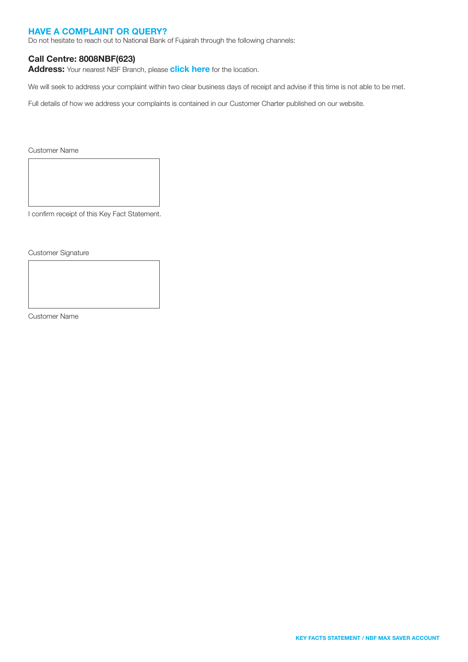#### HAVE A COMPLAINT OR QUERY?

Do not hesitate to reach out to National Bank of Fujairah through the following channels:

#### Call Centre: 8008NBF(623)

Address: Your nearest NBF Branch, please [click here](https://nbf.ae/en/contact/locations) for the location.

We will seek to address your complaint within two clear business days of receipt and advise if this time is not able to be met.

Full details of how we address your complaints is contained in our Customer Charter published on our website.

Customer Name

I confirm receipt of this Key Fact Statement.

Customer Signature

Customer Name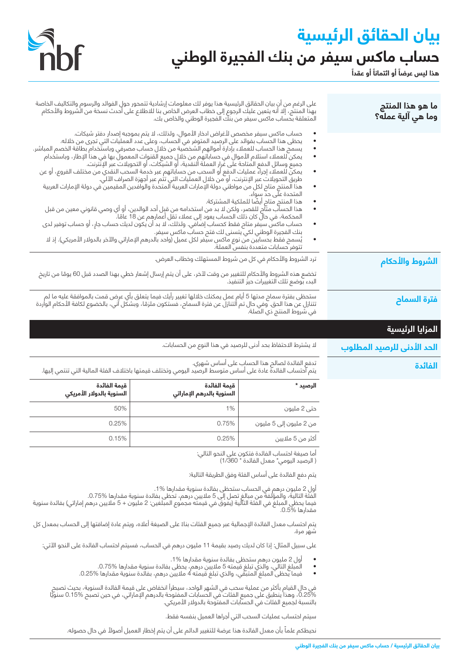# **بيان الحقائق الرئيسية** حساب ماكس سيفر من بنك الفجيرة الوطني<br>هذا ليس عرضاَ أو ائتماناَ أو عقداَ



| ما هو هذا المنتج<br>وما هي آلية عمله؟ |                                                                                                                                                                                                                                                                                                                                                                                                                                                                                                                                                                                                                                                                                                                                                                                                                                                                                                                                                                                                                                                                                                                                                                                                                                                                                                                                                          | على الرغم من أنٍ بيان الحقائق الرئيسية هذا يوفر لك معلومات إرشادية تتمحور حولٍ الفوائد والرسوم والتكاليف الخاصة<br>بهذا المنتج، إلا أنه يتعين عليك الرجوع إلى خطاب العرض الخاص بنا للاطلاع على أحدث نسخة من الشروط والأحكام<br>المتعلقة بحساب ماكس سيفر من بنك الفجيرة الوطني والخاص بك. |                                           |
|---------------------------------------|----------------------------------------------------------------------------------------------------------------------------------------------------------------------------------------------------------------------------------------------------------------------------------------------------------------------------------------------------------------------------------------------------------------------------------------------------------------------------------------------------------------------------------------------------------------------------------------------------------------------------------------------------------------------------------------------------------------------------------------------------------------------------------------------------------------------------------------------------------------------------------------------------------------------------------------------------------------------------------------------------------------------------------------------------------------------------------------------------------------------------------------------------------------------------------------------------------------------------------------------------------------------------------------------------------------------------------------------------------|------------------------------------------------------------------------------------------------------------------------------------------------------------------------------------------------------------------------------------------------------------------------------------------|-------------------------------------------|
|                                       | حساب ماكس سيفر مخصص لأغراض ادخار الأموال، ولذلك، لا يتم بموجبه إصدار دفتر شيكات.<br>يحظى هذا الحساب بفوائد على الرصيد المتوفر في الحساب، وعلى عدد العمليات التي تجري من خلاله.<br>يسمح هذا الحساب للعملاء بإدارة أموالهم الشخصية من خلال حساب مصرفي وباستخدام بطاقة الخصم المباشر.<br>يمكن للعملاء استلام الأموال في حساباتهم من خلالٍ جميع القنوات المعمول بها في هذا الإطار، وباستخدام<br>جميع وسائل الدفع المتاحة على غَرار العملة النقدية، أو الشيكات، أو التحويلات عبر الإنْترنت.<br>يمكن للعملاء إجراء عمليات الدفع او السحب من حساباتهم عبر خدِمة السحب النقدي من مختلف الفروع، او عن<br>طريق التحويلات عبر الإنترنت، أو من خلال العمليات التي تثم عبر أجهزة الصراف الآلي.<br>هذا المنتج متاح لكل من مواطني دولة الإمارات العربية المتحدة والوافدين المقيمين في دولة الإمارات العربية<br>المتحدة على حد سواء.<br>هذا المنتج متاح ايضًا للملكية المشتركة.<br>هذا الحساَّب متَّام للقصر، ولكن لا بد من استخدامه من قبِل أحد الوالدين، أو أي وصي قانوني معين من قبل<br>المحكمة، في حال كان ذلك الحساب يعود إلى عملاء تقل أعمارهِم عن 18 عامًا.<br>حساب ماكسّ سيّفر متاح فقط كحساب إضافَي. ولذلك، لا بد أن يكون لديك حساب جارٍ، أو حساب توفير لدى<br>بنك الفجيرة الوطني لكي يتسنى لك فتح حساب ماكس سيفر.<br>يُسمح فقط بحسابين من نوع ماكس سيَفر لكل عميل (واحد بالدرهم الإماراتي والآخر بالدولار الأمريكي). إذ لا<br>تتوفر حسابات متعددة بنفس العملة. |                                                                                                                                                                                                                                                                                          |                                           |
| الشروط والأحكام                       | ترد الشروط والأحكام في كل من شروط المستهلك وخطاب العرض.<br>تخضع هذه الشروط والأحكام للتغيير من وقت لآخر، على أن يتم إرسال إشعار خطي بهذا الصدد قبل 60 يومًا من تاريخ<br>البدء بوضع تلك التغييرات حيز التنفيذ.                                                                                                                                                                                                                                                                                                                                                                                                                                                                                                                                                                                                                                                                                                                                                                                                                                                                                                                                                                                                                                                                                                                                            |                                                                                                                                                                                                                                                                                          |                                           |
| فترة السماح                           | ستحظى بفترة سماح مدتها 5 أيام عمل يمكنك خلالها تغيير رأيك فيما يتعلق بأي عرض قمت بالموافقة عليه ما لم<br>تتنازل عن هذا الحق. وفي حال تم التنازل عن فترة السماح، فستكون ملزمًا، وبشكل آني، بالخضوع لكافة الأحكام الواردة<br>في شروط                                                                                                                                                                                                                                                                                                                                                                                                                                                                                                                                                                                                                                                                                                                                                                                                                                                                                                                                                                                                                                                                                                                       |                                                                                                                                                                                                                                                                                          |                                           |
| المزايا الرئيسية                      |                                                                                                                                                                                                                                                                                                                                                                                                                                                                                                                                                                                                                                                                                                                                                                                                                                                                                                                                                                                                                                                                                                                                                                                                                                                                                                                                                          |                                                                                                                                                                                                                                                                                          |                                           |
| الحد الأدنى للرصيد المطلوب            | لا يشترط الاحتفاظ بحد أدنى للرصيد في هذا النوع من الحسابات.                                                                                                                                                                                                                                                                                                                                                                                                                                                                                                                                                                                                                                                                                                                                                                                                                                                                                                                                                                                                                                                                                                                                                                                                                                                                                              |                                                                                                                                                                                                                                                                                          |                                           |
|                                       | تدفع الفائدة لصالح هذا الحساب على أساس شهري.<br>يتم احتساب الفائدة عادة على أساس متوسط الرصيد اليومي وتختلف قيمتها باختلاف الفئة المالية التي تنتمي إليها.                                                                                                                                                                                                                                                                                                                                                                                                                                                                                                                                                                                                                                                                                                                                                                                                                                                                                                                                                                                                                                                                                                                                                                                               |                                                                                                                                                                                                                                                                                          |                                           |
| الفائدة                               |                                                                                                                                                                                                                                                                                                                                                                                                                                                                                                                                                                                                                                                                                                                                                                                                                                                                                                                                                                                                                                                                                                                                                                                                                                                                                                                                                          |                                                                                                                                                                                                                                                                                          |                                           |
|                                       | الرصيد *                                                                                                                                                                                                                                                                                                                                                                                                                                                                                                                                                                                                                                                                                                                                                                                                                                                                                                                                                                                                                                                                                                                                                                                                                                                                                                                                                 | قيمة الفائدة<br>السنوية بالدرهم الإماراتي                                                                                                                                                                                                                                                | قيمة الفائدة<br>السنوية بالدولار الأمريكي |
|                                       | حتى 2 مليون                                                                                                                                                                                                                                                                                                                                                                                                                                                                                                                                                                                                                                                                                                                                                                                                                                                                                                                                                                                                                                                                                                                                                                                                                                                                                                                                              | 1%                                                                                                                                                                                                                                                                                       | 50%                                       |
|                                       | من 2 مليون إلى 5 مليون                                                                                                                                                                                                                                                                                                                                                                                                                                                                                                                                                                                                                                                                                                                                                                                                                                                                                                                                                                                                                                                                                                                                                                                                                                                                                                                                   | 0.75%                                                                                                                                                                                                                                                                                    | 0.25%                                     |
|                                       | أكثر من 5 ملايين                                                                                                                                                                                                                                                                                                                                                                                                                                                                                                                                                                                                                                                                                                                                                                                                                                                                                                                                                                                                                                                                                                                                                                                                                                                                                                                                         | 0.25%                                                                                                                                                                                                                                                                                    | 0.15%                                     |
|                                       | أما صيغة احتساب الفائدة فتكون على النحو التالي:<br>( الرصيد اليومي* معدل الفائدة * 1/360)                                                                                                                                                                                                                                                                                                                                                                                                                                                                                                                                                                                                                                                                                                                                                                                                                                                                                                                                                                                                                                                                                                                                                                                                                                                                |                                                                                                                                                                                                                                                                                          |                                           |
|                                       | يتم دفع الفائدة على أساس الفئة وفق الطريقة التالية:                                                                                                                                                                                                                                                                                                                                                                                                                                                                                                                                                                                                                                                                                                                                                                                                                                                                                                                                                                                                                                                                                                                                                                                                                                                                                                      |                                                                                                                                                                                                                                                                                          |                                           |
|                                       | مقدارها %0.5.                                                                                                                                                                                                                                                                                                                                                                                                                                                                                                                                                                                                                                                                                                                                                                                                                                                                                                                                                                                                                                                                                                                                                                                                                                                                                                                                            | أول 2 مليون درهم في الحساب ستحظى بفائدة سنوية مقدارها %1.<br>الَّفئَة التَالَيَةَ، والمؤلَّفةَ من مبالغ تصل إلى 5 ملايين درهم، تحَظى بفائدة سنوية مقدارها %0.75.<br>فيما يحظي المبلغ في الفئة التالية (يفوق في قيمته مجموع المبلغين: 2 مليون + 5 ملايين درهم إماراتي) بفائدة سنوية       |                                           |
|                                       | شهر مرة.                                                                                                                                                                                                                                                                                                                                                                                                                                                                                                                                                                                                                                                                                                                                                                                                                                                                                                                                                                                                                                                                                                                                                                                                                                                                                                                                                 | يتم احتساب معدل الفائدة الإجمالية عبر جميع الفئات بناءً على الصيغة أعلاه، ويتم عادة إضافتها إلى الحساب بمعدل كل                                                                                                                                                                          |                                           |
|                                       |                                                                                                                                                                                                                                                                                                                                                                                                                                                                                                                                                                                                                                                                                                                                                                                                                                                                                                                                                                                                                                                                                                                                                                                                                                                                                                                                                          | على سبيل المثال: إذا كان لديك رصيد بقيمة 11 مليون درهم في الحساب، فسيتم احتساب الفائدة على النحو الآتي:                                                                                                                                                                                  |                                           |
|                                       | ٠                                                                                                                                                                                                                                                                                                                                                                                                                                                                                                                                                                                                                                                                                                                                                                                                                                                                                                                                                                                                                                                                                                                                                                                                                                                                                                                                                        | أول 2 مليون درهم ستحظى بفائدة سنوية مقدارها %1.<br>الْمَبلغ التَالِّي، والذي تبلغ قيمته 5 ملايين درهم، يحظى بفائدة سنوية مقدارها %0.75.<br>فيما يحظى المبلغ المتبقي، والذي تبلغ قيمته 4 ملايين درهم، بفائدة سنوية مقدارها %0.25.                                                         |                                           |
|                                       |                                                                                                                                                                                                                                                                                                                                                                                                                                                                                                                                                                                                                                                                                                                                                                                                                                                                                                                                                                                                                                                                                                                                                                                                                                                                                                                                                          | في حال القيام بأكثر من عملية سحب في الشهر الواحد، سيطرأ انخفاض على قيمة الفائدة السنوية، بحيث تصبح<br>0.25%، وهذا ينطبق على جميع الفئات في الحسابات المفتوحة بالدرهم الإماراتي، في حين تصبح %0.15 سنويًا<br>بالنسبة لجميع الفئات في                                                      |                                           |

نحيطكم علماً بأن معدل الفائدة هذا عرضة للتغيير الدائم على أن يتم إخطار العميل أصولاً في حال حصوله.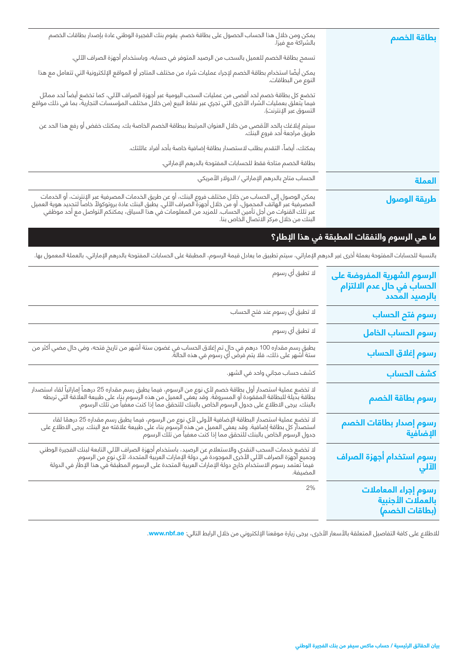| يمكن ومن خلال هذا الحساب الحصول على بطاقة خصم. يقوم بنك الفجيرة الوطني عادة بإصدار بطاقات الخصم<br>بالشراكة مع فيزا.                                                                                                                | بطاقة الخصم  |
|-------------------------------------------------------------------------------------------------------------------------------------------------------------------------------------------------------------------------------------|--------------|
| تسمح بطاقة الخصم للعميل بالسحب من الرصيد المتوفر في حسابه، وباستخدام أجهزة الصراف الآلي.                                                                                                                                            |              |
| يمكن أيضًا استخدام بطاقة الخصم لإجراء عمليات شراء من مختلف المتاجر أو المواقع الإلكترونية التي تتعامل مع هذا<br>النوع من البطاقات.                                                                                                  |              |
| تخضع كل بطاقة خصم لحد أقصى من عمليات السحب اليومية عبر أجهزة الصراف الآلي، كما تخضع أيضاً لحد مماثل<br>فيما يتعلق بعمليات الشراء الأخرى التي تجري عبر نقاط البيع (من خلال مختلف المؤسسات التجارية، بما في ذلك مواقع<br>التسوق عبر ا |              |
| سيتم إبلاغك بالحد الأقصى من خلال العنوان المرتبط ببطاقة الخصم الخاصة بك. يمكنك خفض أو رفع هذا الحد عن<br>طريق مراجعة أحد فروع البنك.                                                                                                |              |
| يمكنك، أيضاً، التقدم بطلب لاستصدار بطاقة إضافية خاصة بأحد أفراد عائلتك.                                                                                                                                                             |              |
| بطاقة الخصم متاحة فقط للحسابات المفتوحة بالدرهم الإماراتي.                                                                                                                                                                          |              |
| الحساب متاح بالدرهم الإماراتي / الدولار الأمريكي                                                                                                                                                                                    | العملة       |
| يمكن الوصول إلى الحساب من خلال مختلف فروع البنك، أو عن طريق الخدمات المصرفية عبر الإنترنت، أو الخدمات<br>المصرفية عبر الهاتف المحمول، أو من خلال أجهزة الصراف الآلي. يطبق البنك عادة بروتوكولاً خاصاً لتحديد هوية العميل<br>عبر تلك | طريقة الوصول |

# **ما هي الرسوم والنفقات المطبقة في هذا اإلطار؟**

بالنسبة للحسابات المفتوحة بعملة أخرى غير الدرهم اإلماراتي، سيتم تطبيق ما يعادل قيمة الرسوم، المطبقة على الحسابات المفتوحة بالدرهم اإلماراتي، بالعملة المعمول بها.

| الرسوم الشهرية المفروضة على<br>الحساب في حال عدم الالتزام<br>الحساب في حال عدم الالتزام<br>بالرصيد المحدد | لا تطبق أي رسوم                                                                                                                                                                                                                                 |
|-----------------------------------------------------------------------------------------------------------|-------------------------------------------------------------------------------------------------------------------------------------------------------------------------------------------------------------------------------------------------|
| رسوم فتح الحساب                                                                                           | لا تطبق أي رسوم عند فتح الحساب                                                                                                                                                                                                                  |
| رسوم الحساب الخامل                                                                                        | لا تطبق أي رسوم                                                                                                                                                                                                                                 |
| رسوم إغلاق الحساب                                                                                         | يطبق رسم مقداره 100 درهم في حال تم إغلاق الحساب في غضون ستة أشهر من تاريخ فتحه، وفي حال مضي اَكثر من<br>ستة أشهر على ذلك، فلا يتم فرض أي رسوم في هذه الحالة.                                                                                    |
| كشف الحساب                                                                                                | كشف حساب مجاني واحد في الشهر.                                                                                                                                                                                                                   |
| رسوم بطاقة الخصم                                                                                          | لا تخضع عملية استصدار أول بطاقة خصم لأي نوع من الرسوم، فيما يطبق رسم مقداره 25 درهماً إماراتياً لقاء استصدار<br>بطاقة بديلة للبطاقة المفقودة أو المسروقة. وقد يعفى العميل من هذه الرسوم بناء على طبيعة العلاقة التي تربطه<br>بالبنك             |
| رسوم إصدار بطاقات الخصم<br>الإضافية                                                                       | لا تخضع عملية استصدار البطاقة الإضافية الأولى لأي نوع من الرسوم، فيما يطبق رسم مقداره 25 درهمًا لقاء<br>استصدار كل بطاقة إضافية. وقد يعفى العميل من هذه الرسوم بناء على طبيعة علاقته مع البنك. يرجى الاطلاع على<br>جدول الرسوم الخا             |
| رسوم استخدام أجهزة الصراف<br>الآلي                                                                        | لا تخضع خدمات السحب النقدي والاستعلام عن الرصيد، باستخدام أجهزة الصراف الآلي التابعة لبنك الفجيرة الوطني<br>وجميع أجهزة الصراف الآلي الأخرى الموجودة في دولة الإمارات العربية المتحدة، لأي نوع من الرسوم.<br>" فيما تعتمد رسوم الاس<br>المضيفة. |
| رسوم إجراء المعاملات<br>بالعملات الأجنبية<br>(بطاقات الخصم)                                               | 2%                                                                                                                                                                                                                                              |

للاطلاع على كافة التفاصيل المتعلقة بالأسعار الأخرى، يرجى زيارة موقعنا الإلكتروني من خلال الرابط التالي: <mark>www.nbf.ae.</mark>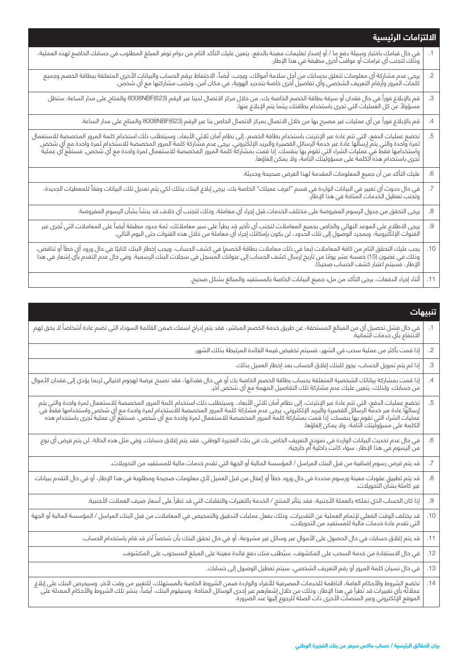|            | الالتزامات الرئيسية                                                                                                                                                                                                              |
|------------|----------------------------------------------------------------------------------------------------------------------------------------------------------------------------------------------------------------------------------|
|            | في حال قيامك باختيار وسيلة دفع ما / أو إصدار تعليمات معينة بالدفع، يتعين عليك التأكد التام من دوام توفر المبلغ المطلوب في حسابك الخاضع لهذه العملية،<br>وذلك لتجنب أي غرامات أو عواقب أخرى مطبقة في هذا الإطار.                  |
| $\cdot$ .2 | يرجى عدم مشاركة أي معلومات تتعلق بحسابك من أجل سلامة أموالك. ويجب، أيضاً، الاحتفاظ برقم الحساب والبيانات الأخرى المتعلقة ببطاقة الخصم وجميع<br>كلمات المرور وأرقام التعريف الشخصي وأي تفاصيل أخرى خاصة بتحديد الهوية، في مكان آم |
| .3         | قم بالإبلاغ فوراً في حال فقدان أو سرقة بطاقة الخصم الخاصة بك، من خلال مركز الاتصال لدينا عبر الرقم (8008NBF(623 والمتاح على مدار الساعة. ستظل<br>مسؤولاً عن كل العمليات التي تجرى باستخدام بطاقتك ريثما يتم الإبلاغ عنها.        |
| .4         | قم بالإبلاغ فوراً عن أي عمليات غير مصرح بها من خلال الاتصال بمركز الاتصال الخاص بنا عبر الرقم (8008NBF(623 والمتاح على مدار الساعة.                                                                                              |
| .5         | تخضع عمليات الدفع، التي تتم عادة عبر الإنترنت باستخدام بطاقة الخصم، إلى نظام أمان ثلاثي الأبعاد، وسيتطلب ذلك استخدام كلمة المرور المخصصة للاستعمال<br>  لمرة واحدة والتي يتم إرسالها عادة عبر خدمة الرسائل القصيرة والبريد الإ   |
| $.6\,$     | عليك التأكد من أن جميع المعلومات المقدمة لهذا الغرض صحيحة وحديثة.                                                                                                                                                                |
| .7         | .<br>في حال حدوث أي تغيير في البيانات الواردة في قسم "اعرف عميلك" الخاصة بك، يرجى إبلاغ البنك بذلك لكي يتم تعديل تلك البيانات وفقاً للمعطيات الجديدة،<br>وتجنب تعطيل الخدمات المتاحة في هذا الإطار.                              |
| .8         | يرجى التحقق من جدول الرسوم المفروضة على مختلف الخدمات قبل إجراء أي معاملة، وذلك لتجنب أي خلاف قد ينشأ بشأن الرسوم المفروضة.                                                                                                      |
| .9         | يرجى الاطلاع على الموعد النهائي والخاص بجميع المعاملات لتجنب أي تأخير قد يطرأ على سير معاملاتك. ثمة حدود مطبقة أيضاً على المعاملات التي تُجرى عبر<br>القنوات الإلكترونية، وبمجرد الوصول إلى تلك الحدود، لن يكون بإمكانك إجراء أي |
| .10        | يجب عليك التحقق التام من كافة المعاملات (بما في ذلك معاملات بطاقة الخصم) في كشف الحساب، ويجب إخطار البنك كتابيًا في حال ورود أي خطأ أو تناقض،<br>وذلك في غضون (15) خمسة عشر يومًا من تاريخ إرسال كشف الحساب إلى عنوانك المسجل في |
| .11        | أثناء إجراء الدفعات، يرجى التأكد من ملء جميع البيانات الخاصة بالمستفيد والمبالغ بشكل صحيح.                                                                                                                                       |

| تنسهات                                                                                                                                                                                                                           |                  |
|----------------------------------------------------------------------------------------------------------------------------------------------------------------------------------------------------------------------------------|------------------|
| .<br>في حال فشل تحصيل أي من المبالغ المستحقة، عن طريق خدمة الخصم المباشر، فقد يتم إدراج اسمك ضمن القائمة السوداء التي تضم عادة أشخاصاً لا يحق لهم<br>الانتفاع بأي خدمات ائتمانية.                                                |                  |
| إذا قمت بأكثر من عملية سحب في الشهر، فسيتم تخفيض قيمة الفائدة المرتبطة بذلك الشهر.                                                                                                                                               | $\cdot$ .2       |
| إذا لم يتم تمويل الحساب، يجوز للبنك إغلاق الحساب بعد إخطار العميل بذلك.                                                                                                                                                          | .3               |
| إذا قمت بمشاركة بياناتك الشخصية المتعلقة بحساب بطاقة الخصم الخاصة بك أو في حال فقدانها، فقد تصبح عرضة لهجوم احتيالي لربما يؤدي إلى فقدان الأموال<br>من حسابك. ولذلك، يتعين عليك عدم مشاركة تلك التفاصيل المهمة مع أي شخص آخر.    | $\cdot^4$        |
| تخضع عمليات الدفع، التي تتم عادة عبر الإنترنت، إلى نظام أمان ثلاثي الأبعاد، وسيتطلب ذلك استخدام كلمة المرور المخصصة للاستعمال لمرة واحدة والتي يتم<br>إرسالها عادة عبر خدمة الرسائل القصيرة والبريد الإلكتروني. يرجى عدم مشاركة  | $.5\,$           |
| في حال عدم تحديث البيانات الواردة في نموذج التعريف الخاص بك في بنك الفجيرة الوطني، فقد يتم إغلاق حسابك. وفي مثل هذه الحالة، لن يتم فرض أي نوع<br>من الرسوم في هذا الإطار، سواء كانت داخلية أم خارجية.                            | $\cdot 6$        |
| قد يتم فرض رسوم إضافية من قبل البنك المراسل / المؤسسة المالية أو الجهة التي تقدم خدمات مالية للمستفيد من التحويلات.                                                                                                              | .7               |
| .<br>قد يتم تطبيق عقوبات معينة ورسوم محددة في حال ورود خطأ أو إغفال من قبل العميل لأي معلومات صحيحة ومطلوبة في هذا الإطار، أو في حال التقدم ببيانات<br>غير كاملة بشأن التحويلات.                                                 | $\boldsymbol{8}$ |
| إذا كان الحساب الذي تملكه بالعملة الأجنبية، فقد يتأثر المنتج / الخدمة بالتغيرات والتقلبات التي قد تطرأ على أسعار صرف العملات الأجنبية.                                                                                           | .9               |
| قد يختلف الوقت الفعلي لإتمام العملية عن التقديرات، وذلك بفعل عمليات التدقيق والتمحيص في المعاملات من قبل البنك المراسل / المؤسسة المالية أو الجهة<br>التي تقدم عادة خدمات مالية للمستفيد من التحويلات.                           | .10              |
| قد يتم إغلاق حسابك في حال الحصول على الأموال عبر وسائل غير مشروعة، أو في حال تحقق البنك بأن شخصاً آخر قد قام باستخدام الحساب.                                                                                                    | .11              |
| في حال الاستفادة من خدمة السحب على المكشوف، سيُطلب منك دفع فائدة معينة على المبلغ المسحوب على المكشوف.                                                                                                                           | .12              |
| في حال نسيان كلمة المرور أو رقم التعريف الشخصي، سيتم تعطيل الوصول إلى حسابك.                                                                                                                                                     | .13              |
| تخضع الشروط والأحكام العامة، الناظمة للخدمات المصرفية للأفراد والواردة ضمن الشروط الخاصة بالمستهلك، للتغيير من وقت لآخر. وسيحرص البنك على إبلاغ<br>عملائه بأي تغييرات قد تطرأ في هذا الإطار، وذلك من خلال إشعارهم عبر إحدى الوسا | .14              |